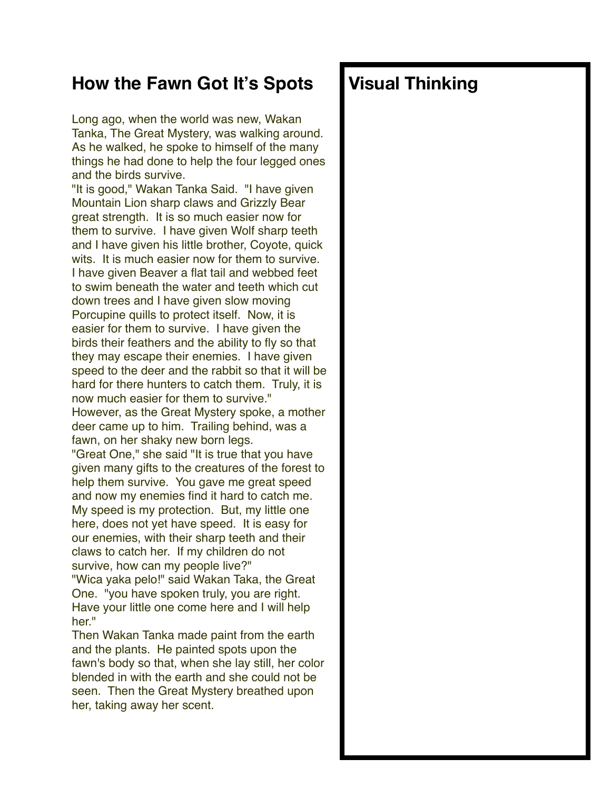## **How the Fawn Got It's Spots**

Long ago, when the world was new, Wakan Tanka, The Great Mystery, was walking around. As he walked, he spoke to himself of the many things he had done to help the four legged ones and the birds survive.

"It is good," Wakan Tanka Said. "I have given Mountain Lion sharp claws and Grizzly Bear great strength. It is so much easier now for them to survive. I have given Wolf sharp teeth and I have given his little brother, Coyote, quick wits. It is much easier now for them to survive. I have given Beaver a flat tail and webbed feet to swim beneath the water and teeth which cut down trees and I have given slow moving Porcupine quills to protect itself. Now, it is easier for them to survive. I have given the birds their feathers and the ability to fly so that they may escape their enemies. I have given speed to the deer and the rabbit so that it will be hard for there hunters to catch them. Truly, it is now much easier for them to survive." However, as the Great Mystery spoke, a mother deer came up to him. Trailing behind, was a fawn, on her shaky new born legs. "Great One," she said "It is true that you have given many gifts to the creatures of the forest to help them survive. You gave me great speed and now my enemies find it hard to catch me. My speed is my protection. But, my little one here, does not yet have speed. It is easy for our enemies, with their sharp teeth and their claws to catch her. If my children do not survive, how can my people live?" "Wica yaka pelo!" said Wakan Taka, the Great One. "you have spoken truly, you are right.

Have your little one come here and I will help her<sup>"</sup>

Then Wakan Tanka made paint from the earth and the plants. He painted spots upon the fawn's body so that, when she lay still, her color blended in with the earth and she could not be seen. Then the Great Mystery breathed upon her, taking away her scent.

## **Visual Thinking**